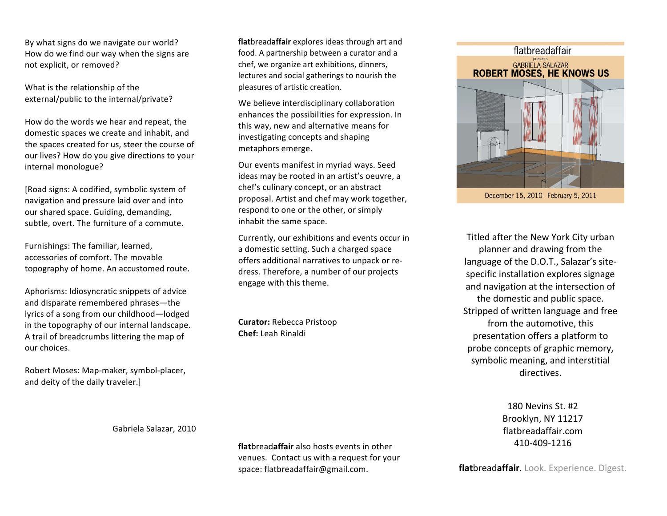By
what
signs
do
we
navigate
our
world? How
do
we
find
our
way
when
the
signs
are not
explicit,
or
removed?

What is the relationship of the external/public to the internal/private?

How
do
the
words
we
hear
and
repeat,
the domestic
spaces
we
create
and
inhabit,
and the
spaces
created
for
us,
steer
the
course
of our
lives?
How
do
you
give
directions
to
your internal
monologue?

[Road signs: A codified, symbolic system of navigation
and
pressure
laid
over
and
into our
shared
space.
Guiding,
demanding, subtle,
overt.
The
furniture
of
a
commute.

Furnishings:
The
familiar,
learned, accessories
of
comfort.
The
movable topography
of
home.
An
accustomed
route.

Aphorisms:
Idiosyncratic
snippets
of
advice and
disparate
remembered
phrases—the lyrics
of
a
song
from
our
childhood—lodged in
the
topography
of
our
internal
landscape. A
trail
of
breadcrumbs
littering
the
map
of our
choices.

Robert
Moses:
Map‐maker,
symbol‐placer, and
deity
of
the
daily
traveler.]

**flat**bread**affair**explores
ideas
through
art
and food.
A
partnership
between
a
curator
and
a chef,
we
organize
art
exhibitions,
dinners, lectures
and
social
gatherings
to
nourish
the pleasures
of
artistic
creation.

We believe interdisciplinary collaboration enhances
the
possibilities
for
expression.
In this
way,
new
and
alternative
means
for investigating
concepts
and
shaping metaphors
emerge.

Our
events
manifest
in
myriad
ways.
Seed ideas
may
be
rooted
in
an
artist's
oeuvre,
a chef's
culinary
concept,
or
an
abstract proposal.
Artist
and
chef
may
work
together, respond
to
one
or
the
other,
or
simply inhabit
the
same
space.

Currently,
our
exhibitions
and
events
occur
in a
domestic
setting.
Such
a
charged
space offers
additional
narratives
to
unpack
or
re‐ dress.
Therefore,
a
number
of
our
projects engage
with
this
theme.

**Curator:**Rebecca
Pristoop **Chef:**Leah
Rinaldi



December 15, 2010 - February 5, 2011

Titled
after
the
New
York
City
urban planner
and
drawing
from
the language
of
the
D.O.T.,
Salazar's
site‐ specific
installation
explores
signage and
navigation
at
the
intersection
of the
domestic
and
public
space. Stripped
of
written
language
and
free from
the
automotive,
this presentation
offers
a
platform
to probe
concepts
of
graphic
memory, symbolic
meaning,
and
interstitial directives.

> 180
> Nevins
> St.
> #2 Brooklyn,
> NY
> 11217 flatbreadaffair.com 410‐409‐1216

**flat**bread**affair**.
Look.
Experience.
Digest.

Gabriela
Salazar,
2010

**flat**bread**affair** also
hosts
events in
other venues.

Contact
us
with
a
request
for
your space:
flatbreadaffair@gmail.com.